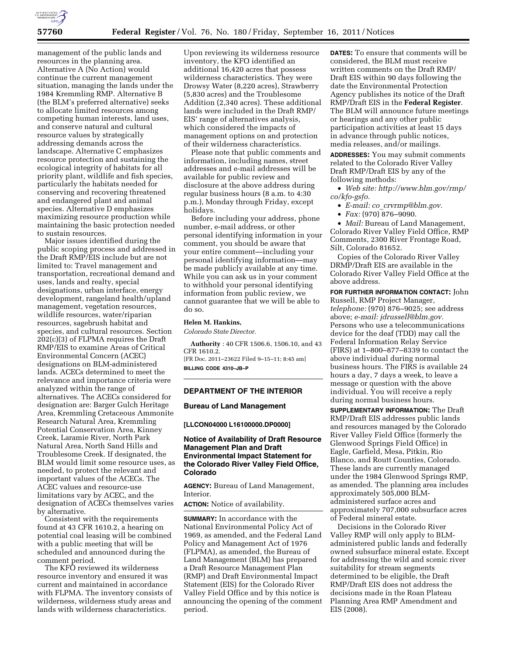

management of the public lands and resources in the planning area. Alternative A (No Action) would continue the current management situation, managing the lands under the 1984 Kremmling RMP. Alternative B (the BLM's preferred alternative) seeks to allocate limited resources among competing human interests, land uses, and conserve natural and cultural resource values by strategically addressing demands across the landscape. Alternative C emphasizes resource protection and sustaining the ecological integrity of habitats for all priority plant, wildlife and fish species, particularly the habitats needed for conserving and recovering threatened and endangered plant and animal species. Alternative D emphasizes maximizing resource production while maintaining the basic protection needed to sustain resources.

Major issues identified during the public scoping process and addressed in the Draft RMP/EIS include but are not limited to: Travel management and transportation, recreational demand and uses, lands and realty, special designations, urban interface, energy development, rangeland health/upland management, vegetation resources, wildlife resources, water/riparian resources, sagebrush habitat and species, and cultural resources. Section 202(c)(3) of FLPMA requires the Draft RMP/EIS to examine Areas of Critical Environmental Concern (ACEC) designations on BLM-administered lands. ACECs determined to meet the relevance and importance criteria were analyzed within the range of alternatives. The ACECs considered for designation are: Barger Gulch Heritage Area, Kremmling Cretaceous Ammonite Research Natural Area, Kremmling Potential Conservation Area, Kinney Creek, Laramie River, North Park Natural Area, North Sand Hills and Troublesome Creek. If designated, the BLM would limit some resource uses, as needed, to protect the relevant and important values of the ACECs. The ACEC values and resource-use limitations vary by ACEC, and the designation of ACECs themselves varies by alternative.

Consistent with the requirements found at 43 CFR 1610.2, a hearing on potential coal leasing will be combined with a public meeting that will be scheduled and announced during the comment period.

The KFO reviewed its wilderness resource inventory and ensured it was current and maintained in accordance with FLPMA. The inventory consists of wilderness, wilderness study areas and lands with wilderness characteristics.

Upon reviewing its wilderness resource inventory, the KFO identified an additional 16,420 acres that possess wilderness characteristics. They were Drowsy Water (8,220 acres), Strawberry (5,830 acres) and the Troublesome Addition (2,340 acres). These additional lands were included in the Draft RMP/ EIS' range of alternatives analysis, which considered the impacts of management options on and protection of their wilderness characteristics.

Please note that public comments and information, including names, street addresses and e-mail addresses will be available for public review and disclosure at the above address during regular business hours (8 a.m. to 4:30 p.m.), Monday through Friday, except holidays.

Before including your address, phone number, e-mail address, or other personal identifying information in your comment, you should be aware that your entire comment—including your personal identifying information—may be made publicly available at any time. While you can ask us in your comment to withhold your personal identifying information from public review, we cannot guarantee that we will be able to do so.

## **Helen M. Hankins,**

*Colorado State Director.* 

**Authority** : 40 CFR 1506.6, 1506.10, and 43 CFR 1610.2.

[FR Doc. 2011–23622 Filed 9–15–11; 8:45 am] **BILLING CODE 4310–JB–P** 

## **DEPARTMENT OF THE INTERIOR**

#### **Bureau of Land Management**

#### **[LLCON04000 L16100000.DP0000]**

# **Notice of Availability of Draft Resource Management Plan and Draft Environmental Impact Statement for the Colorado River Valley Field Office, Colorado**

**AGENCY:** Bureau of Land Management, Interior.

**ACTION:** Notice of availability.

**SUMMARY:** In accordance with the National Environmental Policy Act of 1969, as amended, and the Federal Land Policy and Management Act of 1976 (FLPMA), as amended, the Bureau of Land Management (BLM) has prepared a Draft Resource Management Plan (RMP) and Draft Environmental Impact Statement (EIS) for the Colorado River Valley Field Office and by this notice is announcing the opening of the comment period.

**DATES:** To ensure that comments will be considered, the BLM must receive written comments on the Draft RMP/ Draft EIS within 90 days following the date the Environmental Protection Agency publishes its notice of the Draft RMP/Draft EIS in the **Federal Register**. The BLM will announce future meetings or hearings and any other public participation activities at least 15 days in advance through public notices, media releases, and/or mailings.

**ADDRESSES:** You may submit comments related to the Colorado River Valley Draft RMP/Draft EIS by any of the following methods:

• *Web site: [http://www.blm.gov/rmp/](http://www.blm.gov/rmp/co/kfo-gsfo)  [co/kfo-gsfo.](http://www.blm.gov/rmp/co/kfo-gsfo)* 

- *E-mail: co*\_*[crvrmp@blm.gov.](mailto:co_crvrmp@blm.gov)*
- *Fax:* (970) 876–9090.

• *Mail:* Bureau of Land Management, Colorado River Valley Field Office, RMP Comments, 2300 River Frontage Road, Silt, Colorado 81652.

Copies of the Colorado River Valley DRMP/Draft EIS are available in the Colorado River Valley Field Office at the above address.

**FOR FURTHER INFORMATION CONTACT:** John Russell, RMP Project Manager, *telephone:* (970) 876–9025; see address above; *e-mail: [jdrussell@blm.gov.](mailto:jdrussell@blm.gov)*  Persons who use a telecommunications device for the deaf (TDD) may call the Federal Information Relay Service (FIRS) at 1–800–877–8339 to contact the above individual during normal business hours. The FIRS is available 24 hours a day, 7 days a week, to leave a message or question with the above individual. You will receive a reply during normal business hours.

**SUPPLEMENTARY INFORMATION:** The Draft RMP/Draft EIS addresses public lands and resources managed by the Colorado River Valley Field Office (formerly the Glenwood Springs Field Office) in Eagle, Garfield, Mesa, Pitkin, Rio Blanco, and Routt Counties, Colorado. These lands are currently managed under the 1984 Glenwood Springs RMP, as amended. The planning area includes approximately 505,000 BLMadministered surface acres and approximately 707,000 subsurface acres of Federal mineral estate.

Decisions in the Colorado River Valley RMP will only apply to BLMadministered public lands and federally owned subsurface mineral estate. Except for addressing the wild and scenic river suitability for stream segments determined to be eligible, the Draft RMP/Draft EIS does not address the decisions made in the Roan Plateau Planning Area RMP Amendment and EIS (2008).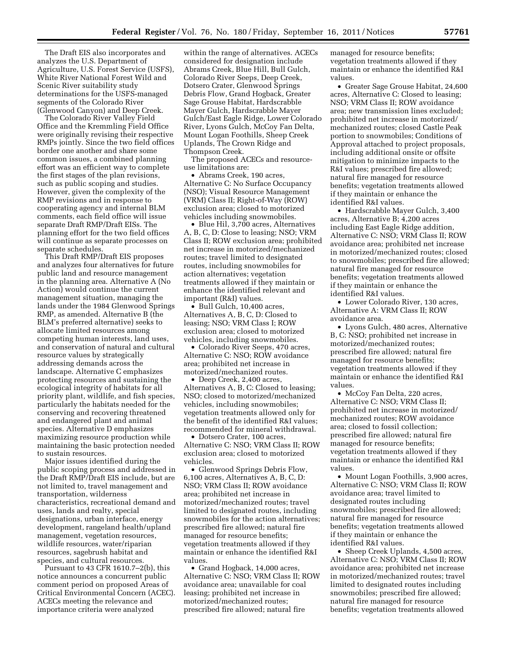The Draft EIS also incorporates and analyzes the U.S. Department of Agriculture, U.S. Forest Service (USFS), White River National Forest Wild and Scenic River suitability study determinations for the USFS-managed segments of the Colorado River (Glenwood Canyon) and Deep Creek.

The Colorado River Valley Field Office and the Kremmling Field Office were originally revising their respective RMPs jointly. Since the two field offices border one another and share some common issues, a combined planning effort was an efficient way to complete the first stages of the plan revisions, such as public scoping and studies. However, given the complexity of the RMP revisions and in response to cooperating agency and internal BLM comments, each field office will issue separate Draft RMP/Draft EISs. The planning effort for the two field offices will continue as separate processes on separate schedules.

This Draft RMP/Draft EIS proposes and analyzes four alternatives for future public land and resource management in the planning area. Alternative A (No Action) would continue the current management situation, managing the lands under the 1984 Glenwood Springs RMP, as amended. Alternative B (the BLM's preferred alternative) seeks to allocate limited resources among competing human interests, land uses, and conservation of natural and cultural resource values by strategically addressing demands across the landscape. Alternative C emphasizes protecting resources and sustaining the ecological integrity of habitats for all priority plant, wildlife, and fish species, particularly the habitats needed for the conserving and recovering threatened and endangered plant and animal species. Alternative D emphasizes maximizing resource production while maintaining the basic protection needed to sustain resources.

Major issues identified during the public scoping process and addressed in the Draft RMP/Draft EIS include, but are not limited to, travel management and transportation, wilderness characteristics, recreational demand and uses, lands and realty, special designations, urban interface, energy development, rangeland health/upland management, vegetation resources, wildlife resources, water/riparian resources, sagebrush habitat and species, and cultural resources.

Pursuant to 43 CFR 1610.7–2(b), this notice announces a concurrent public comment period on proposed Areas of Critical Environmental Concern (ACEC). ACECs meeting the relevance and importance criteria were analyzed

within the range of alternatives. ACECs considered for designation include Abrams Creek, Blue Hill, Bull Gulch, Colorado River Seeps, Deep Creek, Dotsero Crater, Glenwood Springs Debris Flow, Grand Hogback, Greater Sage Grouse Habitat, Hardscrabble Mayer Gulch, Hardscrabble Mayer Gulch/East Eagle Ridge, Lower Colorado River, Lyons Gulch, McCoy Fan Delta, Mount Logan Foothills, Sheep Creek Uplands, The Crown Ridge and Thompson Creek.

The proposed ACECs and resourceuse limitations are:

• Abrams Creek, 190 acres, Alternative C: No Surface Occupancy (NSO); Visual Resource Management (VRM) Class II; Right-of-Way (ROW) exclusion area; closed to motorized vehicles including snowmobiles.

• Blue Hil, 3,700 acres, Alternatives A, B, C, D: Close to leasing; NSO; VRM Class II; ROW exclusion area; prohibited net increase in motorized/mechanized routes; travel limited to designated routes, including snowmobiles for action alternatives; vegetation treatments allowed if they maintain or enhance the identified relevant and important (R&I) values.

• Bull Gulch, 10,400 acres, Alternatives A, B, C, D: Closed to leasing; NSO; VRM Class I; ROW exclusion area; closed to motorized vehicles, including snowmobiles.

• Colorado River Seeps, 470 acres, Alternative C: NSO; ROW avoidance area; prohibited net increase in motorized/mechanized routes.

• Deep Creek, 2,400 acres, Alternatives A, B, C: Closed to leasing; NSO; closed to motorized/mechanized vehicles, including snowmobiles; vegetation treatments allowed only for the benefit of the identified R&I values; recommended for mineral withdrawal.

• Dotsero Crater, 100 acres, Alternative C: NSO; VRM Class II; ROW exclusion area; closed to motorized vehicles.

• Glenwood Springs Debris Flow, 6,100 acres, Alternatives A, B, C, D: NSO; VRM Class II; ROW avoidance area; prohibited net increase in motorized/mechanized routes; travel limited to designated routes, including snowmobiles for the action alternatives; prescribed fire allowed; natural fire managed for resource benefits; vegetation treatments allowed if they maintain or enhance the identified R&I values.

• Grand Hogback, 14,000 acres, Alternative C: NSO; VRM Class II; ROW avoidance area; unavailable for coal leasing; prohibited net increase in motorized/mechanized routes; prescribed fire allowed; natural fire

managed for resource benefits; vegetation treatments allowed if they maintain or enhance the identified R&I values.

• Greater Sage Grouse Habitat, 24,600 acres, Alternative C: Closed to leasing; NSO; VRM Class II; ROW avoidance area; new transmission lines excluded; prohibited net increase in motorized/ mechanized routes; closed Castle Peak portion to snowmobiles; Conditions of Approval attached to project proposals, including additional onsite or offsite mitigation to minimize impacts to the R&I values; prescribed fire allowed; natural fire managed for resource benefits; vegetation treatments allowed if they maintain or enhance the identified R&I values.

• Hardscrabble Mayer Gulch, 3,400 acres, Alternative B; 4,200 acres including East Eagle Ridge addition, Alternative C: NSO; VRM Class II; ROW avoidance area; prohibited net increase in motorized/mechanized routes; closed to snowmobiles; prescribed fire allowed; natural fire managed for resource benefits; vegetation treatments allowed if they maintain or enhance the identified R&I values.

• Lower Colorado River, 130 acres, Alternative A: VRM Class II; ROW avoidance area.

• Lyons Gulch, 480 acres, Alternative B, C: NSO; prohibited net increase in motorized/mechanized routes; prescribed fire allowed; natural fire managed for resource benefits; vegetation treatments allowed if they maintain or enhance the identified R&I values.

• McCoy Fan Delta, 220 acres. Alternative C: NSO; VRM Class II; prohibited net increase in motorized/ mechanized routes; ROW avoidance area; closed to fossil collection; prescribed fire allowed; natural fire managed for resource benefits; vegetation treatments allowed if they maintain or enhance the identified R&I values.

• Mount Logan Foothills, 3,900 acres, Alternative C: NSO; VRM Class II; ROW avoidance area; travel limited to designated routes including snowmobiles; prescribed fire allowed; natural fire managed for resource benefits; vegetation treatments allowed if they maintain or enhance the identified R&I values.

• Sheep Creek Uplands, 4,500 acres, Alternative C: NSO; VRM Class II; ROW avoidance area; prohibited net increase in motorized/mechanized routes; travel limited to designated routes including snowmobiles; prescribed fire allowed; natural fire managed for resource benefits; vegetation treatments allowed